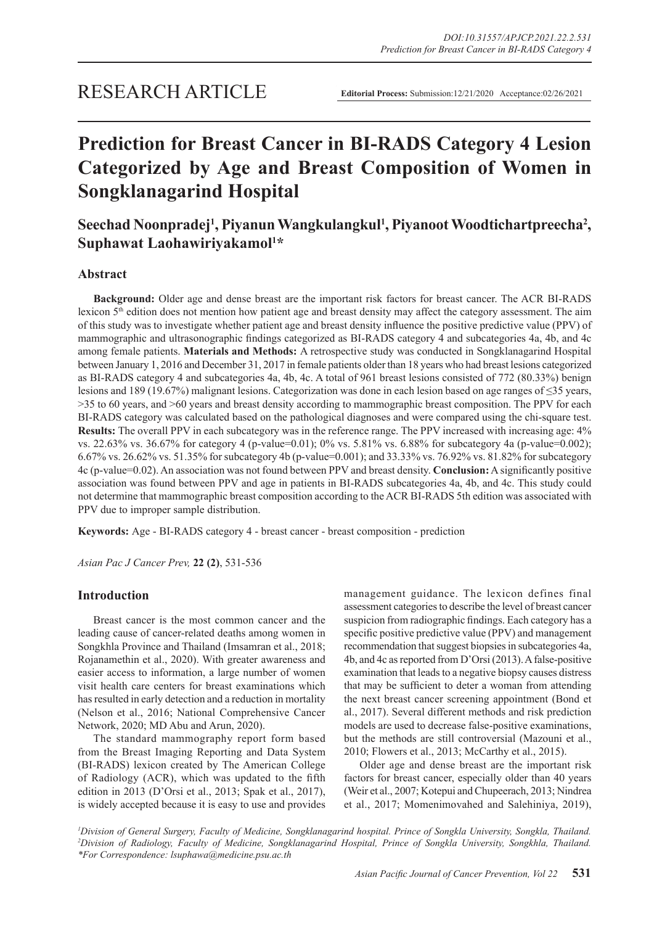# **Prediction for Breast Cancer in BI-RADS Category 4 Lesion Categorized by Age and Breast Composition of Women in Songklanagarind Hospital**

# Seechad Noonpradej<sup>1</sup>, Piyanun Wangkulangkul<sup>1</sup>, Piyanoot Woodtichartpreecha<sup>2</sup>, **Suphawat Laohawiriyakamol1 \***

# **Abstract**

**Background:** Older age and dense breast are the important risk factors for breast cancer. The ACR BI-RADS lexicon  $5<sup>th</sup>$  edition does not mention how patient age and breast density may affect the category assessment. The aim of this study was to investigate whether patient age and breast density influence the positive predictive value (PPV) of mammographic and ultrasonographic findings categorized as BI-RADS category 4 and subcategories 4a, 4b, and 4c among female patients. **Materials and Methods:** A retrospective study was conducted in Songklanagarind Hospital between January 1, 2016 and December 31, 2017 in female patients older than 18 years who had breast lesions categorized as BI-RADS category 4 and subcategories 4a, 4b, 4c. A total of 961 breast lesions consisted of 772 (80.33%) benign lesions and 189 (19.67%) malignant lesions. Categorization was done in each lesion based on age ranges of ≤35 years, >35 to 60 years, and >60 years and breast density according to mammographic breast composition. The PPV for each BI-RADS category was calculated based on the pathological diagnoses and were compared using the chi-square test. **Results:** The overall PPV in each subcategory was in the reference range. The PPV increased with increasing age:  $4\%$ vs. 22.63% vs. 36.67% for category 4 (p-value=0.01); 0% vs. 5.81% vs. 6.88% for subcategory 4a (p-value=0.002); 6.67% vs. 26.62% vs. 51.35% for subcategory 4b (p-value=0.001); and 33.33% vs. 76.92% vs. 81.82% for subcategory 4c (p-value=0.02). An association was not found between PPV and breast density. **Conclusion:** A significantly positive association was found between PPV and age in patients in BI-RADS subcategories 4a, 4b, and 4c. This study could not determine that mammographic breast composition according to the ACR BI-RADS 5th edition was associated with PPV due to improper sample distribution.

**Keywords:** Age - BI-RADS category 4 - breast cancer - breast composition - prediction

*Asian Pac J Cancer Prev,* **22 (2)**, 531-536

# **Introduction**

Breast cancer is the most common cancer and the leading cause of cancer-related deaths among women in Songkhla Province and Thailand (Imsamran et al., 2018; Rojanamethin et al., 2020). With greater awareness and easier access to information, a large number of women visit health care centers for breast examinations which has resulted in early detection and a reduction in mortality (Nelson et al., 2016; National Comprehensive Cancer Network, 2020; MD Abu and Arun, 2020).

The standard mammography report form based from the Breast Imaging Reporting and Data System (BI-RADS) lexicon created by The American College of Radiology (ACR), which was updated to the fifth edition in 2013 (D'Orsi et al., 2013; Spak et al., 2017), is widely accepted because it is easy to use and provides management guidance. The lexicon defines final assessment categories to describe the level of breast cancer suspicion from radiographic findings. Each category has a specific positive predictive value (PPV) and management recommendation that suggest biopsies in subcategories 4a, 4b, and 4c as reported from D'Orsi (2013). A false-positive examination that leads to a negative biopsy causes distress that may be sufficient to deter a woman from attending the next breast cancer screening appointment (Bond et al., 2017). Several different methods and risk prediction models are used to decrease false-positive examinations, but the methods are still controversial (Mazouni et al., 2010; Flowers et al., 2013; McCarthy et al., 2015).

Older age and dense breast are the important risk factors for breast cancer, especially older than 40 years (Weir et al., 2007; Kotepui and Chupeerach, 2013; Nindrea et al., 2017; Momenimovahed and Salehiniya, 2019),

*1 Division of General Surgery, Faculty of Medicine, Songklanagarind hospital. Prince of Songkla University, Songkla, Thailand. 2 Division of Radiology, Faculty of Medicine, Songklanagarind Hospital, Prince of Songkla University, Songkhla, Thailand. \*For Correspondence: lsuphawa@medicine.psu.ac.th*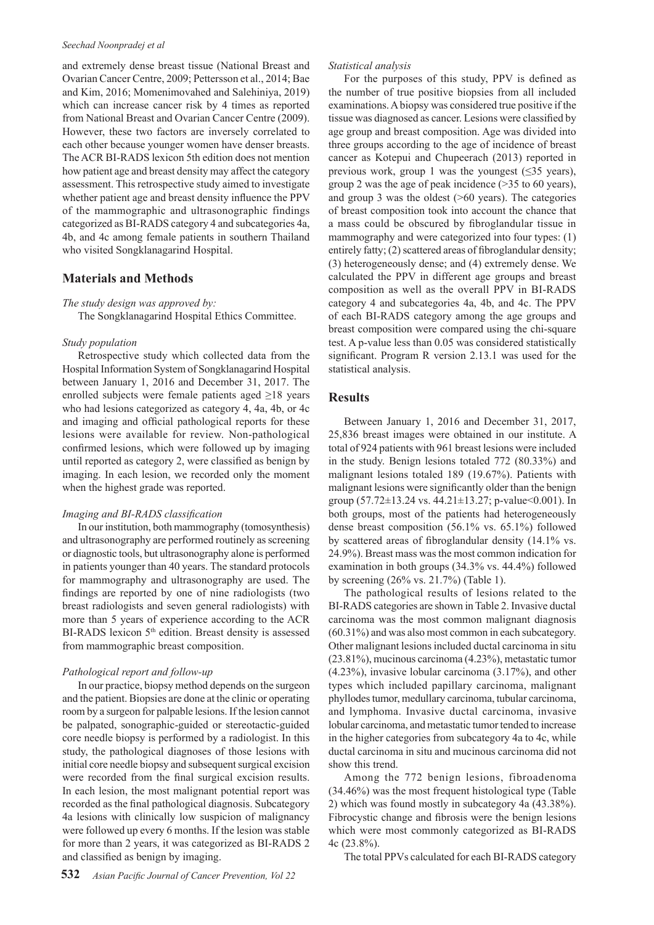#### *Seechad Noonpradej et al*

and extremely dense breast tissue (National Breast and Ovarian Cancer Centre, 2009; Pettersson et al., 2014; Bae and Kim, 2016; Momenimovahed and Salehiniya, 2019) which can increase cancer risk by 4 times as reported from National Breast and Ovarian Cancer Centre (2009). However, these two factors are inversely correlated to each other because younger women have denser breasts. The ACR BI-RADS lexicon 5th edition does not mention how patient age and breast density may affect the category assessment. This retrospective study aimed to investigate whether patient age and breast density influence the PPV of the mammographic and ultrasonographic findings categorized as BI-RADS category 4 and subcategories 4a, 4b, and 4c among female patients in southern Thailand who visited Songklanagarind Hospital.

# **Materials and Methods**

#### *The study design was approved by:*

The Songklanagarind Hospital Ethics Committee.

#### *Study population*

Retrospective study which collected data from the Hospital Information System of Songklanagarind Hospital between January 1, 2016 and December 31, 2017. The enrolled subjects were female patients aged ≥18 years who had lesions categorized as category 4, 4a, 4b, or 4c and imaging and official pathological reports for these lesions were available for review. Non-pathological confirmed lesions, which were followed up by imaging until reported as category 2, were classified as benign by imaging. In each lesion, we recorded only the moment when the highest grade was reported.

#### *Imaging and BI-RADS classification*

In our institution, both mammography (tomosynthesis) and ultrasonography are performed routinely as screening or diagnostic tools, but ultrasonography alone is performed in patients younger than 40 years. The standard protocols for mammography and ultrasonography are used. The findings are reported by one of nine radiologists (two breast radiologists and seven general radiologists) with more than 5 years of experience according to the ACR BI-RADS lexicon 5<sup>th</sup> edition. Breast density is assessed from mammographic breast composition.

# *Pathological report and follow-up*

In our practice, biopsy method depends on the surgeon and the patient. Biopsies are done at the clinic or operating room by a surgeon for palpable lesions. If the lesion cannot be palpated, sonographic-guided or stereotactic-guided core needle biopsy is performed by a radiologist. In this study, the pathological diagnoses of those lesions with initial core needle biopsy and subsequent surgical excision were recorded from the final surgical excision results. In each lesion, the most malignant potential report was recorded as the final pathological diagnosis. Subcategory 4a lesions with clinically low suspicion of malignancy were followed up every 6 months. If the lesion was stable for more than 2 years, it was categorized as BI-RADS 2 and classified as benign by imaging.

#### *Statistical analysis*

For the purposes of this study, PPV is defined as the number of true positive biopsies from all included examinations. A biopsy was considered true positive if the tissue was diagnosed as cancer. Lesions were classified by age group and breast composition. Age was divided into three groups according to the age of incidence of breast cancer as Kotepui and Chupeerach (2013) reported in previous work, group 1 was the youngest ( $\leq$ 35 years), group 2 was the age of peak incidence (>35 to 60 years), and group 3 was the oldest (>60 years). The categories of breast composition took into account the chance that a mass could be obscured by fibroglandular tissue in mammography and were categorized into four types: (1) entirely fatty; (2) scattered areas of fibroglandular density; (3) heterogeneously dense; and (4) extremely dense. We calculated the PPV in different age groups and breast composition as well as the overall PPV in BI-RADS category 4 and subcategories 4a, 4b, and 4c. The PPV of each BI-RADS category among the age groups and breast composition were compared using the chi-square test. A p-value less than 0.05 was considered statistically significant. Program R version 2.13.1 was used for the statistical analysis.

#### **Results**

Between January 1, 2016 and December 31, 2017, 25,836 breast images were obtained in our institute. A total of 924 patients with 961 breast lesions were included in the study. Benign lesions totaled 772 (80.33%) and malignant lesions totaled 189 (19.67%). Patients with malignant lesions were significantly older than the benign group  $(57.72 \pm 13.24 \text{ vs. } 44.21 \pm 13.27 \text{ ; } p\text{-value} < 0.001)$ . In both groups, most of the patients had heterogeneously dense breast composition (56.1% vs. 65.1%) followed by scattered areas of fibroglandular density (14.1% vs. 24.9%). Breast mass was the most common indication for examination in both groups (34.3% vs. 44.4%) followed by screening (26% vs. 21.7%) (Table 1).

The pathological results of lesions related to the BI-RADS categories are shown in Table 2. Invasive ductal carcinoma was the most common malignant diagnosis (60.31%) and was also most common in each subcategory. Other malignant lesions included ductal carcinoma in situ (23.81%), mucinous carcinoma (4.23%), metastatic tumor (4.23%), invasive lobular carcinoma (3.17%), and other types which included papillary carcinoma, malignant phyllodes tumor, medullary carcinoma, tubular carcinoma, and lymphoma. Invasive ductal carcinoma, invasive lobular carcinoma, and metastatic tumor tended to increase in the higher categories from subcategory 4a to 4c, while ductal carcinoma in situ and mucinous carcinoma did not show this trend.

Among the 772 benign lesions, fibroadenoma (34.46%) was the most frequent histological type (Table 2) which was found mostly in subcategory 4a (43.38%). Fibrocystic change and fibrosis were the benign lesions which were most commonly categorized as BI-RADS 4c (23.8%).

The total PPVs calculated for each BI-RADS category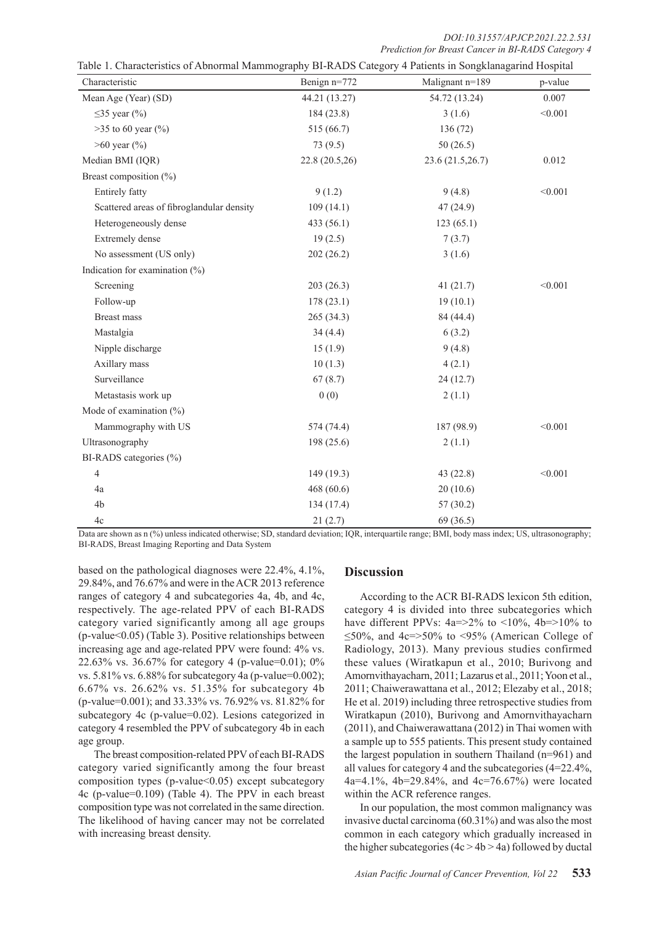*DOI:10.31557/APJCP.2021.22.2.531 Prediction for Breast Cancer in BI-RADS Category 4*

| Characteristic                            | Benign n=772   | Malignant n=189  | p-value |  |
|-------------------------------------------|----------------|------------------|---------|--|
| Mean Age (Year) (SD)                      | 44.21 (13.27)  | 54.72 (13.24)    | 0.007   |  |
| $\leq$ 35 year (%)                        | 184(23.8)      | 3(1.6)           | < 0.001 |  |
| $>35$ to 60 year (%)                      | 515 (66.7)     | 136(72)          |         |  |
| $>60$ year $(\% )$                        | 73(9.5)        | 50(26.5)         |         |  |
| Median BMI (IQR)                          | 22.8 (20.5,26) | 23.6 (21.5,26.7) | 0.012   |  |
| Breast composition (%)                    |                |                  |         |  |
| Entirely fatty                            | 9(1.2)         | 9(4.8)           | < 0.001 |  |
| Scattered areas of fibroglandular density | 109(14.1)      | 47(24.9)         |         |  |
| Heterogeneously dense                     | 433 (56.1)     | 123(65.1)        |         |  |
| Extremely dense                           | 19(2.5)        | 7(3.7)           |         |  |
| No assessment (US only)                   | 202(26.2)      | 3(1.6)           |         |  |
| Indication for examination $(\% )$        |                |                  |         |  |
| Screening                                 | 203(26.3)      | 41(21.7)         | < 0.001 |  |
| Follow-up                                 | 178(23.1)      | 19(10.1)         |         |  |
| Breast mass                               | 265(34.3)      | 84 (44.4)        |         |  |
| Mastalgia                                 | 34(4.4)        | 6(3.2)           |         |  |
| Nipple discharge                          | 15(1.9)        | 9(4.8)           |         |  |
| Axillary mass                             | 10(1.3)        | 4(2.1)           |         |  |
| Surveillance                              | 67(8.7)        | 24(12.7)         |         |  |
| Metastasis work up                        | 0(0)           | 2(1.1)           |         |  |
| Mode of examination $(\% )$               |                |                  |         |  |
| Mammography with US                       | 574 (74.4)     | 187 (98.9)       | < 0.001 |  |
| Ultrasonography                           | 198 (25.6)     | 2(1.1)           |         |  |
| BI-RADS categories (%)                    |                |                  |         |  |
| 4                                         | 149(19.3)      | 43(22.8)         | < 0.001 |  |
| 4a                                        | 468(60.6)      | 20(10.6)         |         |  |
| 4 <sub>b</sub>                            | 134(17.4)      | 57(30.2)         |         |  |
| 4c                                        | 21(2.7)        | 69 (36.5)        |         |  |

 $T_{\rm max}$  Table 1. Degree 1. Cotogory 4 Detients in Songklanagarind Hospital

Data are shown as n (%) unless indicated otherwise; SD, standard deviation; IQR, interquartile range; BMI, body mass index; US, ultrasonography; BI-RADS, Breast Imaging Reporting and Data System

based on the pathological diagnoses were 22.4%, 4.1%, 29.84%, and 76.67% and were in the ACR 2013 reference ranges of category 4 and subcategories 4a, 4b, and 4c, respectively. The age-related PPV of each BI-RADS category varied significantly among all age groups (p-value<0.05) (Table 3). Positive relationships between increasing age and age-related PPV were found: 4% vs. 22.63% vs. 36.67% for category 4 (p-value=0.01);  $0\%$ vs. 5.81% vs. 6.88% for subcategory 4a (p-value=0.002); 6.67% vs. 26.62% vs. 51.35% for subcategory 4b (p-value=0.001); and 33.33% vs. 76.92% vs. 81.82% for subcategory 4c (p-value=0.02). Lesions categorized in category 4 resembled the PPV of subcategory 4b in each age group.

The breast composition-related PPV of each BI-RADS category varied significantly among the four breast composition types (p-value<0.05) except subcategory 4c (p-value=0.109) (Table 4). The PPV in each breast composition type was not correlated in the same direction. The likelihood of having cancer may not be correlated with increasing breast density.

# **Discussion**

According to the ACR BI-RADS lexicon 5th edition, category 4 is divided into three subcategories which have different PPVs:  $4a=>2\%$  to  $\lt 10\%$ ,  $4b=>10\%$  to ≤50%, and 4c=>50% to <95% (American College of Radiology, 2013). Many previous studies confirmed these values (Wiratkapun et al., 2010; Burivong and Amornvithayacharn, 2011; Lazarus et al., 2011; Yoon et al., 2011; Chaiwerawattana et al., 2012; Elezaby et al., 2018; He et al. 2019) including three retrospective studies from Wiratkapun (2010), Burivong and Amornvithayacharn (2011), and Chaiwerawattana (2012) in Thai women with a sample up to 555 patients. This present study contained the largest population in southern Thailand (n=961) and all values for category 4 and the subcategories (4=22.4%, 4a=4.1%, 4b=29.84%, and 4c=76.67%) were located within the ACR reference ranges.

In our population, the most common malignancy was invasive ductal carcinoma (60.31%) and was also the most common in each category which gradually increased in the higher subcategories  $(4c > 4b > 4a)$  followed by ductal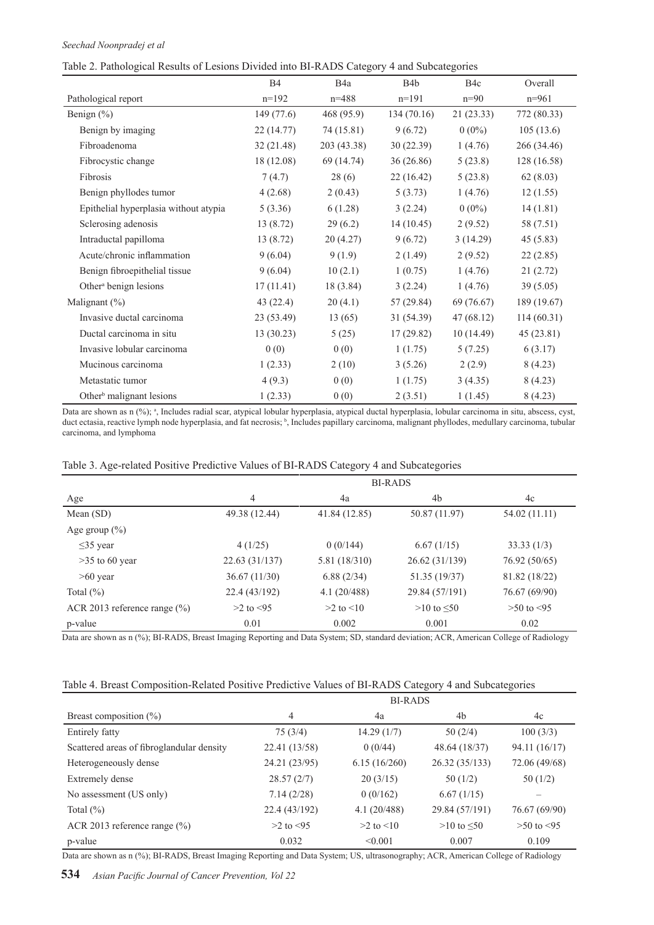# *Seechad Noonpradej et al*

| Table 2. Pathological Results of Lesions Divided into BI-RADS Category 4 and Subcategories |  |
|--------------------------------------------------------------------------------------------|--|
|                                                                                            |  |

|                                       | <b>B4</b>  | B <sub>4</sub> a | B <sub>4</sub> b | B <sub>4</sub> c | Overall     |
|---------------------------------------|------------|------------------|------------------|------------------|-------------|
| Pathological report                   | $n=192$    | $n = 488$        | $n=191$          | $n=90$           | $n=961$     |
| Benign (%)                            | 149 (77.6) | 468 (95.9)       | 134(70.16)       | 21(23.33)        | 772 (80.33) |
| Benign by imaging                     | 22(14.77)  | 74 (15.81)       | 9(6.72)          | $0(0\%)$         | 105(13.6)   |
| Fibroadenoma                          | 32(21.48)  | 203 (43.38)      | 30(22.39)        | 1(4.76)          | 266 (34.46) |
| Fibrocystic change                    | 18 (12.08) | 69 (14.74)       | 36(26.86)        | 5(23.8)          | 128 (16.58) |
| Fibrosis                              | 7(4.7)     | 28(6)            | 22(16.42)        | 5(23.8)          | 62(8.03)    |
| Benign phyllodes tumor                | 4(2.68)    | 2(0.43)          | 5(3.73)          | 1(4.76)          | 12(1.55)    |
| Epithelial hyperplasia without atypia | 5(3.36)    | 6(1.28)          | 3(2.24)          | $0(0\%)$         | 14(1.81)    |
| Sclerosing adenosis                   | 13(8.72)   | 29(6.2)          | 14(10.45)        | 2(9.52)          | 58 (7.51)   |
| Intraductal papilloma                 | 13(8.72)   | 20(4.27)         | 9(6.72)          | 3(14.29)         | 45(5.83)    |
| Acute/chronic inflammation            | 9(6.04)    | 9(1.9)           | 2(1.49)          | 2(9.52)          | 22(2.85)    |
| Benign fibroepithelial tissue         | 9(6.04)    | 10(2.1)          | 1(0.75)          | 1(4.76)          | 21(2.72)    |
| Other <sup>a</sup> benign lesions     | 17(11.41)  | 18 (3.84)        | 3(2.24)          | 1(4.76)          | 39(5.05)    |
| Malignant $(\%)$                      | 43(22.4)   | 20(4.1)          | 57(29.84)        | 69 (76.67)       | 189 (19.67) |
| Invasive ductal carcinoma             | 23 (53.49) | 13(65)           | 31 (54.39)       | 47(68.12)        | 114(60.31)  |
| Ductal carcinoma in situ              | 13 (30.23) | 5(25)            | 17(29.82)        | 10(14.49)        | 45(23.81)   |
| Invasive lobular carcinoma            | 0(0)       | 0(0)             | 1(1.75)          | 5(7.25)          | 6(3.17)     |
| Mucinous carcinoma                    | 1(2.33)    | 2(10)            | 3(5.26)          | 2(2.9)           | 8(4.23)     |
| Metastatic tumor                      | 4(9.3)     | 0(0)             | 1(1.75)          | 3(4.35)          | 8(4.23)     |
| Other <sup>b</sup> malignant lesions  | 1(2.33)    | 0(0)             | 2(3.51)          | 1(1.45)          | 8(4.23)     |

Data are shown as n (%); a, Includes radial scar, atypical lobular hyperplasia, atypical ductal hyperplasia, lobular carcinoma in situ, abscess, cyst, duct ectasia, reactive lymph node hyperplasia, and fat necrosis; b, Includes papillary carcinoma, malignant phyllodes, medullary carcinoma, tubular carcinoma, and lymphoma

# Table 3. Age-related Positive Predictive Values of BI-RADS Category 4 and Subcategories

|                                  | <b>BI-RADS</b> |               |                    |                |  |
|----------------------------------|----------------|---------------|--------------------|----------------|--|
| Age                              | 4              | 4a            | 4b                 | 4c             |  |
| Mean $(SD)$                      | 49.38 (12.44)  | 41.84 (12.85) | 50.87 (11.97)      | 54.02 (11.11)  |  |
| Age group $(\% )$                |                |               |                    |                |  |
| $\leq$ 35 year                   | 4(1/25)        | 0(0/144)      | 6.67(1/15)         | 33.33(1/3)     |  |
| $>35$ to 60 year                 | 22.63 (31/137) | 5.81 (18/310) | 26.62 (31/139)     | 76.92 (50/65)  |  |
| $>60$ year                       | 36.67(11/30)   | 6.88(2/34)    | 51.35 (19/37)      | 81.82 (18/22)  |  |
| Total $(\%)$                     | 22.4 (43/192)  | 4.1(20/488)   | 29.84 (57/191)     | 76.67 (69/90)  |  |
| ACR 2013 reference range $(\% )$ | $>2$ to $<95$  | $>2$ to $<10$ | $>10$ to $\leq 50$ | $>50$ to $<95$ |  |
| p-value                          | 0.01           | 0.002         | 0.001              | 0.02           |  |

Data are shown as n (%); BI-RADS, Breast Imaging Reporting and Data System; SD, standard deviation; ACR, American College of Radiology

# Table 4. Breast Composition-Related Positive Predictive Values of BI-RADS Category 4 and Subcategories

|                                           |               | <b>BI-RADS</b> |                 |                |
|-------------------------------------------|---------------|----------------|-----------------|----------------|
| Breast composition $(\% )$                | 4             | 4a             | 4b              | 4c             |
| Entirely fatty                            | 75(3/4)       | 14.29(1/7)     | 50(2/4)         | 100(3/3)       |
| Scattered areas of fibroglandular density | 22.41 (13/58) | 0(0/44)        | 48.64 (18/37)   | 94.11 (16/17)  |
| Heterogeneously dense                     | 24.21 (23/95) | 6.15(16/260)   | 26.32 (35/133)  | 72.06 (49/68)  |
| Extremely dense                           | 28.57(2/7)    | 20(3/15)       | 50(1/2)         | 50(1/2)        |
| No assessment (US only)                   | 7.14(2/28)    | 0(0/162)       | 6.67(1/15)      |                |
| Total $(\%)$                              | 22.4 (43/192) | 4.1(20/488)    | 29.84 (57/191)  | 76.67 (69/90)  |
| ACR 2013 reference range $(\% )$          | $>2$ to $<95$ | $>2$ to $<10$  | $>10$ to $< 50$ | $>50$ to $<95$ |
| p-value                                   | 0.032         | < 0.001        | 0.007           | 0.109          |

Data are shown as n (%); BI-RADS, Breast Imaging Reporting and Data System; US, ultrasonography; ACR, American College of Radiology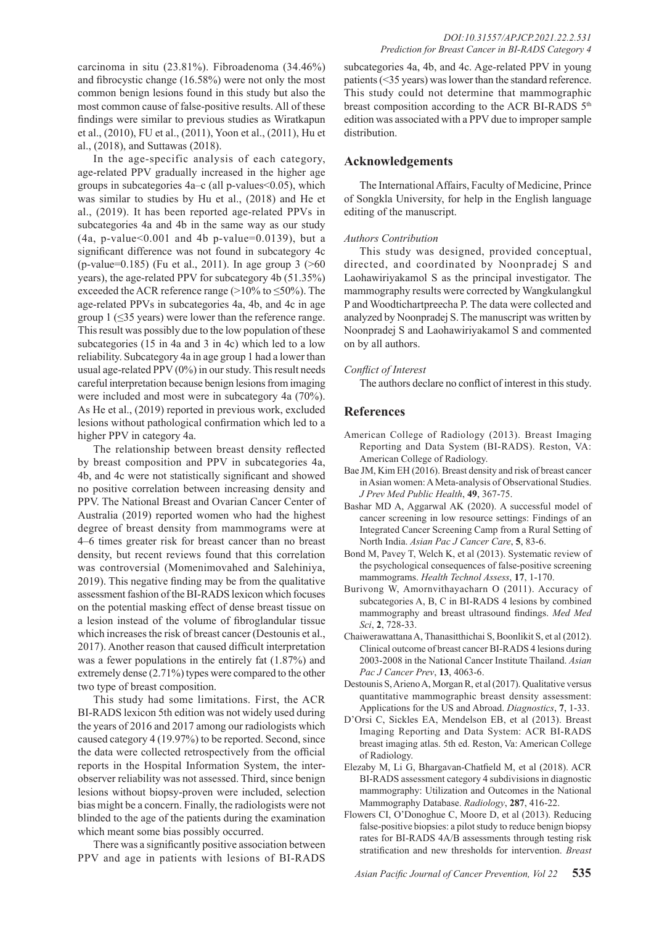carcinoma in situ (23.81%). Fibroadenoma (34.46%) and fibrocystic change (16.58%) were not only the most common benign lesions found in this study but also the most common cause of false-positive results. All of these findings were similar to previous studies as Wiratkapun et al., (2010), FU et al., (2011), Yoon et al., (2011), Hu et al., (2018), and Suttawas (2018).

In the age-specific analysis of each category, age-related PPV gradually increased in the higher age groups in subcategories 4a–c (all p-values<0.05), which was similar to studies by Hu et al., (2018) and He et al., (2019). It has been reported age-related PPVs in subcategories 4a and 4b in the same way as our study  $(4a, p-value<0.001$  and 4b p-value=0.0139), but a significant difference was not found in subcategory 4c (p-value=0.185) (Fu et al., 2011). In age group 3 (>60 years), the age-related PPV for subcategory 4b (51.35%) exceeded the ACR reference range  $(>10\%$  to  $\leq 50\%)$ . The age-related PPVs in subcategories 4a, 4b, and 4c in age group  $1$  ( $\leq$ 35 years) were lower than the reference range. This result was possibly due to the low population of these subcategories (15 in 4a and 3 in 4c) which led to a low reliability. Subcategory 4a in age group 1 had a lower than usual age-related PPV (0%) in our study. This result needs careful interpretation because benign lesions from imaging were included and most were in subcategory 4a (70%). As He et al., (2019) reported in previous work, excluded lesions without pathological confirmation which led to a higher PPV in category 4a.

The relationship between breast density reflected by breast composition and PPV in subcategories 4a, 4b, and 4c were not statistically significant and showed no positive correlation between increasing density and PPV. The National Breast and Ovarian Cancer Center of Australia (2019) reported women who had the highest degree of breast density from mammograms were at 4–6 times greater risk for breast cancer than no breast density, but recent reviews found that this correlation was controversial (Momenimovahed and Salehiniya, 2019). This negative finding may be from the qualitative assessment fashion of the BI-RADS lexicon which focuses on the potential masking effect of dense breast tissue on a lesion instead of the volume of fibroglandular tissue which increases the risk of breast cancer (Destounis et al., 2017). Another reason that caused difficult interpretation was a fewer populations in the entirely fat (1.87%) and extremely dense (2.71%) types were compared to the other two type of breast composition.

This study had some limitations. First, the ACR BI-RADS lexicon 5th edition was not widely used during the years of 2016 and 2017 among our radiologists which caused category 4 (19.97%) to be reported. Second, since the data were collected retrospectively from the official reports in the Hospital Information System, the interobserver reliability was not assessed. Third, since benign lesions without biopsy-proven were included, selection bias might be a concern. Finally, the radiologists were not blinded to the age of the patients during the examination which meant some bias possibly occurred.

There was a significantly positive association between PPV and age in patients with lesions of BI-RADS

subcategories 4a, 4b, and 4c. Age-related PPV in young patients (<35 years) was lower than the standard reference. This study could not determine that mammographic breast composition according to the ACR BI-RADS  $5<sup>th</sup>$ edition was associated with a PPV due to improper sample distribution.

# **Acknowledgements**

The International Affairs, Faculty of Medicine, Prince of Songkla University, for help in the English language editing of the manuscript.

# *Authors Contribution*

This study was designed, provided conceptual, directed, and coordinated by Noonpradej S and Laohawiriyakamol S as the principal investigator. The mammography results were corrected by Wangkulangkul P and Woodtichartpreecha P. The data were collected and analyzed by Noonpradej S. The manuscript was written by Noonpradej S and Laohawiriyakamol S and commented on by all authors.

#### *Conflict of Interest*

The authors declare no conflict of interest in this study.

# **References**

- American College of Radiology (2013). Breast Imaging Reporting and Data System (BI-RADS). Reston, VA: American College of Radiology.
- Bae JM, Kim EH (2016). Breast density and risk of breast cancer in Asian women: A Meta-analysis of Observational Studies. *J Prev Med Public Health*, **49**, 367-75.
- Bashar MD A, Aggarwal AK (2020). A successful model of cancer screening in low resource settings: Findings of an Integrated Cancer Screening Camp from a Rural Setting of North India. *Asian Pac J Cancer Care*, **5**, 83-6.
- Bond M, Pavey T, Welch K, et al (2013). Systematic review of the psychological consequences of false-positive screening mammograms. *Health Technol Assess*, **17**, 1-170.
- Burivong W, Amornvithayacharn O (2011). Accuracy of subcategories A, B, C in BI-RADS 4 lesions by combined mammography and breast ultrasound findings. *Med Med Sci*, **2**, 728-33.
- Chaiwerawattana A, Thanasitthichai S, Boonlikit S, et al (2012). Clinical outcome of breast cancer BI-RADS 4 lesions during 2003-2008 in the National Cancer Institute Thailand. *Asian Pac J Cancer Prev*, **13**, 4063-6.
- Destounis S, Arieno A, Morgan R, et al (2017). Qualitative versus quantitative mammographic breast density assessment: Applications for the US and Abroad. *Diagnostics*, **7**, 1-33.
- D'Orsi C, Sickles EA, Mendelson EB, et al (2013). Breast Imaging Reporting and Data System: ACR BI-RADS breast imaging atlas. 5th ed. Reston, Va: American College of Radiology.
- Elezaby M, Li G, Bhargavan-Chatfield M, et al (2018). ACR BI-RADS assessment category 4 subdivisions in diagnostic mammography: Utilization and Outcomes in the National Mammography Database. *Radiology*, **287**, 416-22.
- Flowers CI, O'Donoghue C, Moore D, et al (2013). Reducing false-positive biopsies: a pilot study to reduce benign biopsy rates for BI-RADS 4A/B assessments through testing risk stratification and new thresholds for intervention. *Breast*